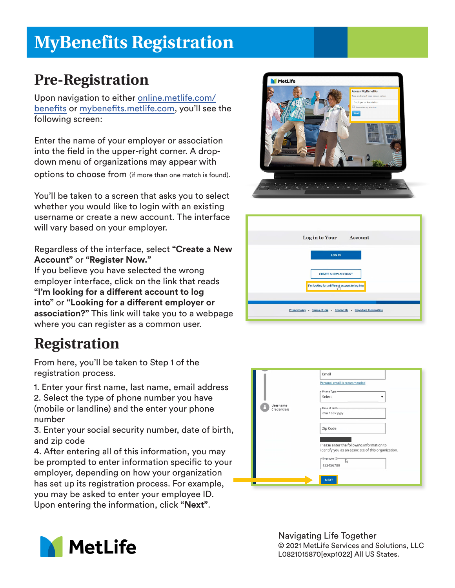# **MyBenefits Registration**

### **Pre-Registration**

Upon navigation to either online.metlife.com/ benefits or mybenefits.metlife.com, you'll see the following screen:

Enter the name of your employer or association into the field in the upper-right corner. A dropdown menu of organizations may appear with options to choose from (if more than one match is found).

You'll be taken to a screen that asks you to select whether you would like to login with an existing username or create a new account. The interface will vary based on your employer.

#### Regardless of the interface, select **"Create a New Account"** or **"Register Now."**

If you believe you have selected the wrong employer interface, click on the link that reads **"I'm looking for a di!erent account to log into**" or "Looking for a different employer or **association?"** This link will take you to a webpage where you can register as a common user.

## **Registration**

From here, you'll be taken to Step 1 of the registration process.

1. Enter your first name, last name, email address 2. Select the type of phone number you have

(mobile or landline) and the enter your phone number

3. Enter your social security number, date of birth, and zip code

4. After entering all of this information, you may be prompted to enter information specific to your employer, depending on how your organization has set up its registration process. For example, you may be asked to enter your employee ID. Upon entering the information, click **"Next"**.









Navigating Life Together © 2021 MetLife Services and Solutions, LLC L0821015870[exp1022] All US States.